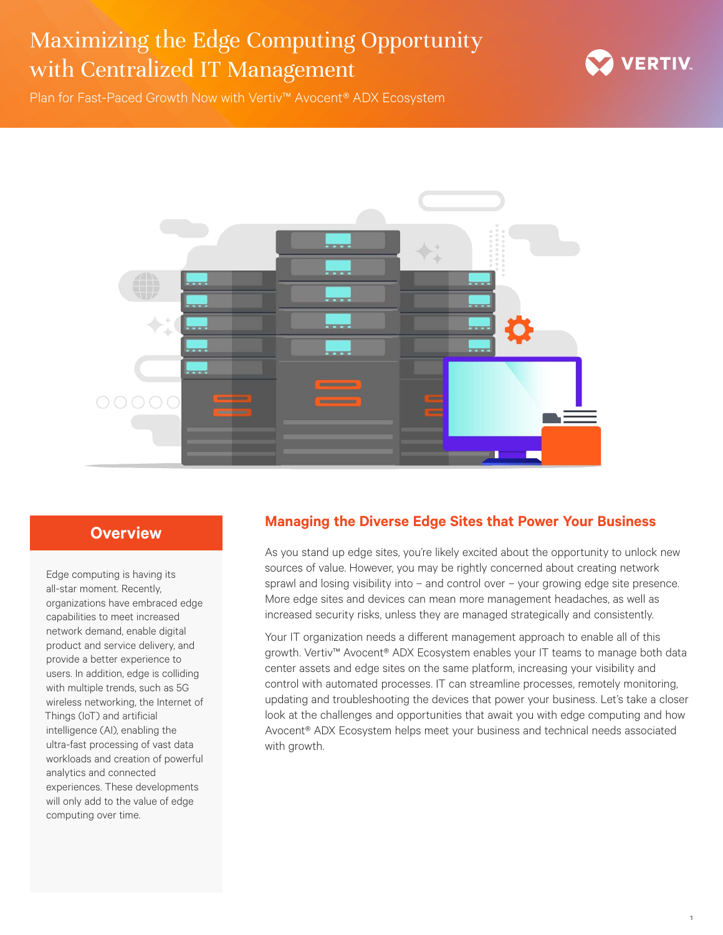

1

Plan for Fast-Paced Growth Now with Vertiv™ Avocent® ADX Ecosystem



## **Overview**

Edge computing is having its all-star moment. Recently, organizations have embraced edge capabilities to meet increased network demand, enable digital product and service delivery, and provide a better experience to users. In addition, edge is colliding with multiple trends, such as 5G wireless networking, the Internet of Things (IoT) and artificial intelligence (AI), enabling the ultra-fast processing of vast data workloads and creation of powerful analytics and connected experiences. These developments will only add to the value of edge computing over time.

### **Managing the Diverse Edge Sites that Power Your Business**

As you stand up edge sites, you're likely excited about the opportunity to unlock new sources of value. However, you may be rightly concerned about creating network sprawl and losing visibility into – and control over – your growing edge site presence. More edge sites and devices can mean more management headaches, as well as increased security risks, unless they are managed strategically and consistently.

Your IT organization needs a different management approach to enable all of this growth. Vertiv™ Avocent® ADX Ecosystem enables your IT teams to manage both data center assets and edge sites on the same platform, increasing your visibility and control with automated processes. IT can streamline processes, remotely monitoring, updating and troubleshooting the devices that power your business. Let's take a closer look at the challenges and opportunities that await you with edge computing and how Avocent® ADX Ecosystem helps meet your business and technical needs associated with growth.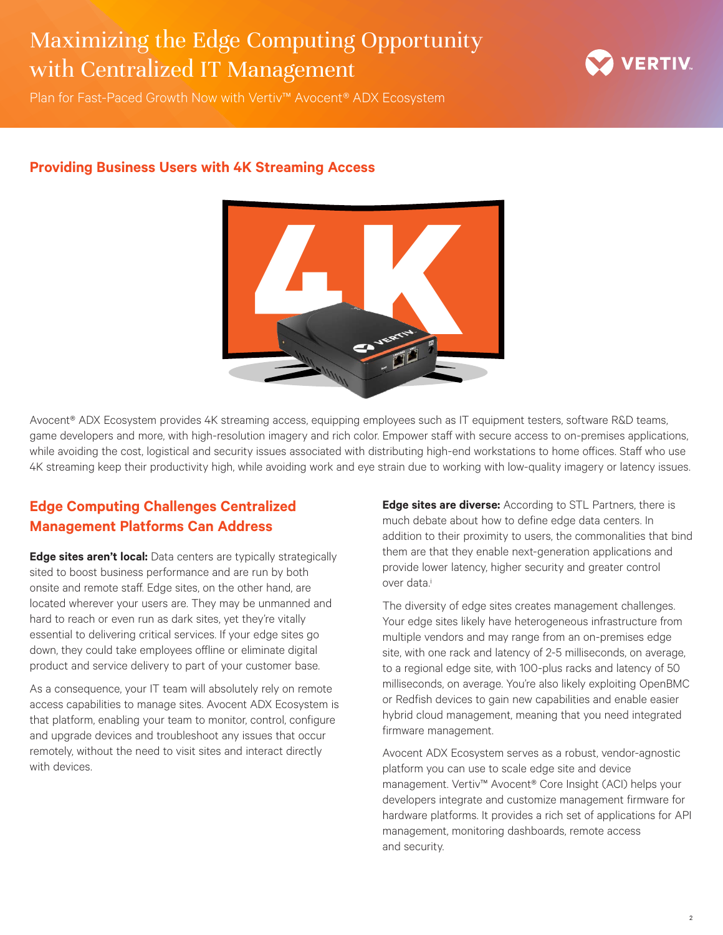

Plan for Fast-Paced Growth Now with Vertiv™ Avocent® ADX Ecosystem

### **Providing Business Users with 4K Streaming Access**



Avocent® ADX Ecosystem provides 4K streaming access, equipping employees such as IT equipment testers, software R&D teams, game developers and more, with high-resolution imagery and rich color. Empower staff with secure access to on-premises applications, while avoiding the cost, logistical and security issues associated with distributing high-end workstations to home offices. Staff who use 4K streaming keep their productivity high, while avoiding work and eye strain due to working with low-quality imagery or latency issues.

## **Edge Computing Challenges Centralized Management Platforms Can Address**

**Edge sites aren't local:** Data centers are typically strategically sited to boost business performance and are run by both onsite and remote staff. Edge sites, on the other hand, are located wherever your users are. They may be unmanned and hard to reach or even run as dark sites, yet they're vitally essential to delivering critical services. If your edge sites go down, they could take employees offline or eliminate digital product and service delivery to part of your customer base.

As a consequence, your IT team will absolutely rely on remote access capabilities to manage sites. Avocent ADX Ecosystem is that platform, enabling your team to monitor, control, configure and upgrade devices and troubleshoot any issues that occur remotely, without the need to visit sites and interact directly with devices.

**Edge sites are diverse:** According to STL Partners, there is much debate about how to define edge data centers. In addition to their proximity to users, the commonalities that bind them are that they enable next-generation applications and provide lower latency, higher security and greater control over data.<sup>i</sup>

The diversity of edge sites creates management challenges. Your edge sites likely have heterogeneous infrastructure from multiple vendors and may range from an on-premises edge site, with one rack and latency of 2-5 milliseconds, on average, to a regional edge site, with 100-plus racks and latency of 50 milliseconds, on average. You're also likely exploiting OpenBMC or Redfish devices to gain new capabilities and enable easier hybrid cloud management, meaning that you need integrated firmware management.

Avocent ADX Ecosystem serves as a robust, vendor-agnostic platform you can use to scale edge site and device management. Vertiv™ Avocent® Core Insight (ACI) helps your developers integrate and customize management firmware for hardware platforms. It provides a rich set of applications for API management, monitoring dashboards, remote access and security.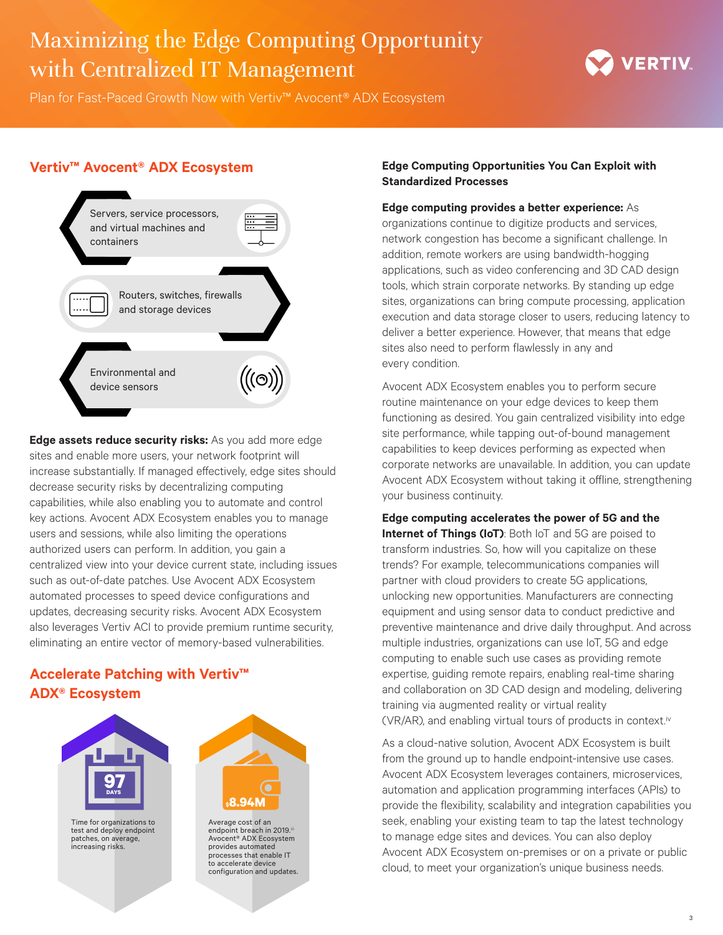

Plan for Fast-Paced Growth Now with Vertiv™ Avocent® ADX Ecosystem

### **Vertiv™ Avocent® ADX Ecosystem**



**Edge assets reduce security risks:** As you add more edge sites and enable more users, your network footprint will increase substantially. If managed effectively, edge sites should decrease security risks by decentralizing computing capabilities, while also enabling you to automate and control key actions. Avocent ADX Ecosystem enables you to manage users and sessions, while also limiting the operations authorized users can perform. In addition, you gain a centralized view into your device current state, including issues such as out-of-date patches. Use Avocent ADX Ecosystem automated processes to speed device configurations and updates, decreasing security risks. Avocent ADX Ecosystem also leverages Vertiv ACI to provide premium runtime security, eliminating an entire vector of memory-based vulnerabilities.

## **Accelerate Patching with Vertiv™ ADX® Ecosystem**



Time for organizations to test and deploy endpoint patches, on average, increasing risks.



Average cost of an endpoint breach in 2019.iii Avocent® ADX Ecosystem provides automated processes that enable IT to accelerate device configuration and updates.

#### **Edge Computing Opportunities You Can Exploit with Standardized Processes**

#### **Edge computing provides a better experience:** As

organizations continue to digitize products and services, network congestion has become a significant challenge. In addition, remote workers are using bandwidth-hogging applications, such as video conferencing and 3D CAD design tools, which strain corporate networks. By standing up edge sites, organizations can bring compute processing, application execution and data storage closer to users, reducing latency to deliver a better experience. However, that means that edge sites also need to perform flawlessly in any and every condition.

Avocent ADX Ecosystem enables you to perform secure routine maintenance on your edge devices to keep them functioning as desired. You gain centralized visibility into edge site performance, while tapping out-of-bound management capabilities to keep devices performing as expected when corporate networks are unavailable. In addition, you can update Avocent ADX Ecosystem without taking it offline, strengthening your business continuity.

#### **Edge computing accelerates the power of 5G and the**

**Internet of Things (IoT)**: Both IoT and 5G are poised to transform industries. So, how will you capitalize on these trends? For example, telecommunications companies will partner with cloud providers to create 5G applications, unlocking new opportunities. Manufacturers are connecting equipment and using sensor data to conduct predictive and preventive maintenance and drive daily throughput. And across multiple industries, organizations can use IoT, 5G and edge computing to enable such use cases as providing remote expertise, guiding remote repairs, enabling real-time sharing and collaboration on 3D CAD design and modeling, delivering training via augmented reality or virtual reality (VR/AR), and enabling virtual tours of products in context.iv

As a cloud-native solution, Avocent ADX Ecosystem is built from the ground up to handle endpoint-intensive use cases. Avocent ADX Ecosystem leverages containers, microservices, automation and application programming interfaces (APIs) to provide the flexibility, scalability and integration capabilities you seek, enabling your existing team to tap the latest technology to manage edge sites and devices. You can also deploy Avocent ADX Ecosystem on-premises or on a private or public cloud, to meet your organization's unique business needs.